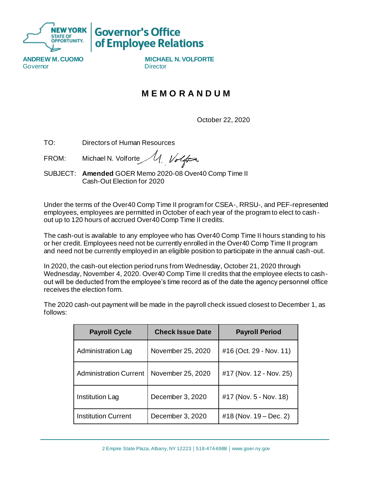

## **Governor's Office** of Employee Relations

**ANDREW M. CUOMO MICHAEL N. VOLFORTE** Governor **Director** Director

## **M E M O R A N D U M**

October 22, 2020

TO: Directors of Human Resources

U. Volfor FROM: Michael N. Volforte

SUBJECT: **Amended** GOER Memo 2020-08 Over40 Comp Time II Cash-Out Election for 2020

Under the terms of the Over40 Comp Time II program for CSEA-, RRSU-, and PEF-represented employees, employees are permitted in October of each year of the program to elect to cashout up to 120 hours of accrued Over40 Comp Time II credits.

The cash-out is available to any employee who has Over40 Comp Time II hours standing to his or her credit. Employees need not be currently enrolled in the Over40 Comp Time II program and need not be currently employed in an eligible position to participate in the annual cash-out.

In 2020, the cash-out election period runs from Wednesday, October 21, 2020 through Wednesday, November 4, 2020. Over40 Comp Time II credits that the employee elects to cashout will be deducted from the employee's time record as of the date the agency personnel office receives the election form.

| <b>Payroll Cycle</b>          | <b>Check Issue Date</b> | <b>Payroll Period</b>   |
|-------------------------------|-------------------------|-------------------------|
| Administration Lag            | November 25, 2020       | #16 (Oct. 29 - Nov. 11) |
| <b>Administration Current</b> | November 25, 2020       | #17 (Nov. 12 - Nov. 25) |
| Institution Lag               | December 3, 2020        | #17 (Nov. 5 - Nov. 18)  |
| <b>Institution Current</b>    | December 3, 2020        | #18 (Nov. 19 – Dec. 2)  |

The 2020 cash-out payment will be made in the payroll check issued closest to December 1, as follows: